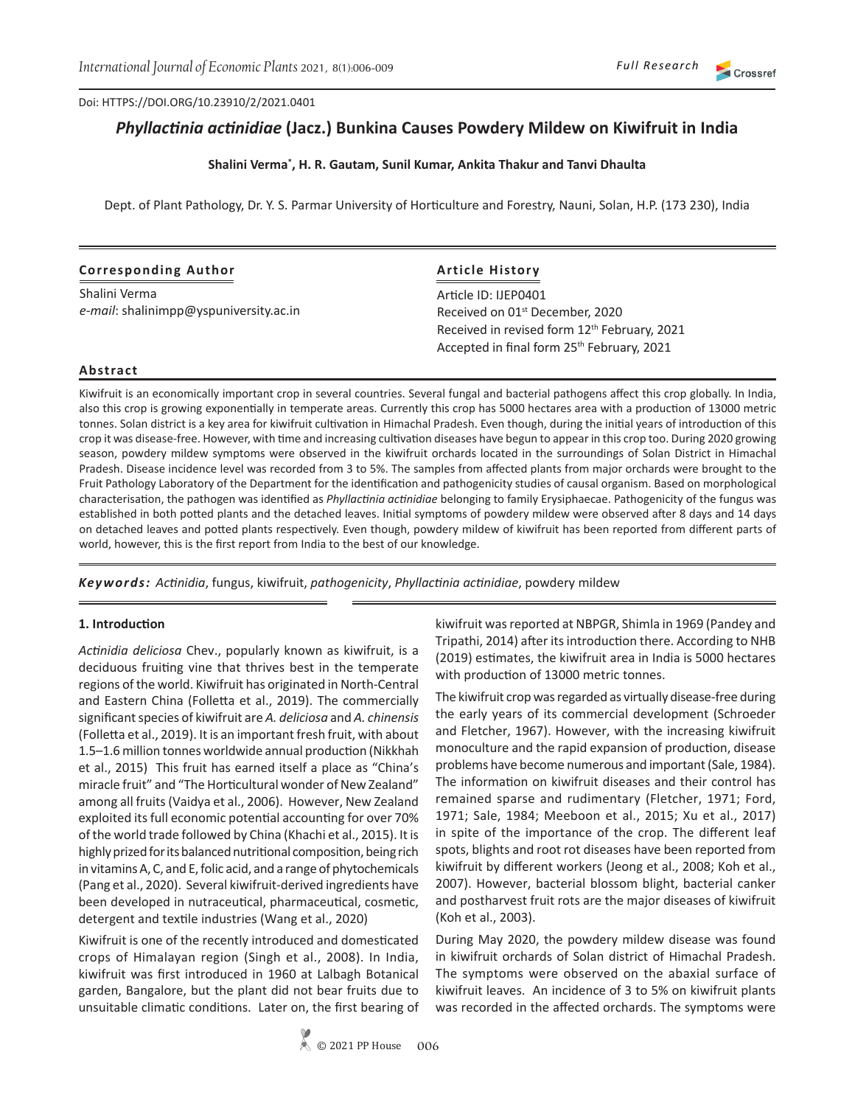#### Doi: HTTPS://DOI.ORG/10.23910/2/2021.0401

# *Phyllactinia actinidiae* **(Jacz.) Bunkina Causes Powdery Mildew on Kiwifruit in India**

### **Shalini Verma\* , H. R. Gautam, Sunil Kumar, Ankita Thakur and Tanvi Dhaulta**

Dept. of Plant Pathology, Dr. Y. S. Parmar University of Horticulture and Forestry, Nauni, Solan, H.P. (173 230), India

### **Corresponding Author**

Shalini Verma *e-mail*: shalinimpp@yspuniversity.ac.in

# **Article History**

Article ID: IJEP0401 Received on 01<sup>st</sup> December, 2020 Received in revised form 12<sup>th</sup> February, 2021 Accepted in final form 25<sup>th</sup> February, 2021

#### **Abstract**

Kiwifruit is an economically important crop in several countries. Several fungal and bacterial pathogens affect this crop globally. In India, also this crop is growing exponentially in temperate areas. Currently this crop has 5000 hectares area with a production of 13000 metric tonnes. Solan district is a key area for kiwifruit cultivation in Himachal Pradesh. Even though, during the initial years of introduction of this crop it was disease-free. However, with time and increasing cultivation diseases have begun to appear in this crop too. During 2020 growing season, powdery mildew symptoms were observed in the kiwifruit orchards located in the surroundings of Solan District in Himachal Pradesh. Disease incidence level was recorded from 3 to 5%. The samples from affected plants from major orchards were brought to the Fruit Pathology Laboratory of the Department for the identification and pathogenicity studies of causal organism. Based on morphological characterisation, the pathogen was identified as *Phyllactinia actinidiae* belonging to family Erysiphaecae. Pathogenicity of the fungus was established in both potted plants and the detached leaves. Initial symptoms of powdery mildew were observed after 8 days and 14 days on detached leaves and potted plants respectively. Even though, powdery mildew of kiwifruit has been reported from different parts of world, however, this is the first report from India to the best of our knowledge.

*Keywords: Actinidia*, fungus, kiwifruit, *pathogenicity*, *Phyllactinia actinidiae*, powdery mildew

#### **1. Introduction**

*Actinidia deliciosa* Chev., popularly known as kiwifruit, is a deciduous fruiting vine that thrives best in the temperate regions of the world. Kiwifruit has originated in North-Central and Eastern China (Folletta et al., 2019). The commercially significant species of kiwifruit are *A. deliciosa* and *A. chinensis* (Folletta et al., 2019). It is an important fresh fruit, with about 1.5–1.6 million tonnes worldwide annual production (Nikkhah et al., 2015) This fruit has earned itself a place as "China's miracle fruit" and "The Horticultural wonder of New Zealand" among all fruits (Vaidya et al., 2006). However, New Zealand exploited its full economic potential accounting for over 70% of the world trade followed by China (Khachi et al., 2015). It is highly prized for its balanced nutritional composition, being rich in vitamins A, C, and E, folic acid, and a range of phytochemicals (Pang et al., 2020). Several kiwifruit-derived ingredients have been developed in nutraceutical, pharmaceutical, cosmetic, detergent and textile industries (Wang et al., 2020)

Kiwifruit is one of the recently introduced and domesticated crops of Himalayan region (Singh et al., 2008). In India, kiwifruit was first introduced in 1960 at Lalbagh Botanical garden, Bangalore, but the plant did not bear fruits due to unsuitable climatic conditions. Later on, the first bearing of kiwifruit was reported at NBPGR, Shimla in 1969 (Pandey and Tripathi, 2014) after its introduction there. According to NHB (2019) estimates, the kiwifruit area in India is 5000 hectares with production of 13000 metric tonnes.

The kiwifruit crop was regarded as virtually disease-free during the early years of its commercial development (Schroeder and Fletcher, 1967). However, with the increasing kiwifruit monoculture and the rapid expansion of production, disease problems have become numerous and important (Sale, 1984). The information on kiwifruit diseases and their control has remained sparse and rudimentary (Fletcher, 1971; Ford, 1971; Sale, 1984; Meeboon et al., 2015; Xu et al., 2017) in spite of the importance of the crop. The different leaf spots, blights and root rot diseases have been reported from kiwifruit by different workers (Jeong et al., 2008; Koh et al., 2007). However, bacterial blossom blight, bacterial canker and postharvest fruit rots are the major diseases of kiwifruit (Koh et al., 2003).

During May 2020, the powdery mildew disease was found in kiwifruit orchards of Solan district of Himachal Pradesh. The symptoms were observed on the abaxial surface of kiwifruit leaves. An incidence of 3 to 5% on kiwifruit plants was recorded in the affected orchards. The symptoms were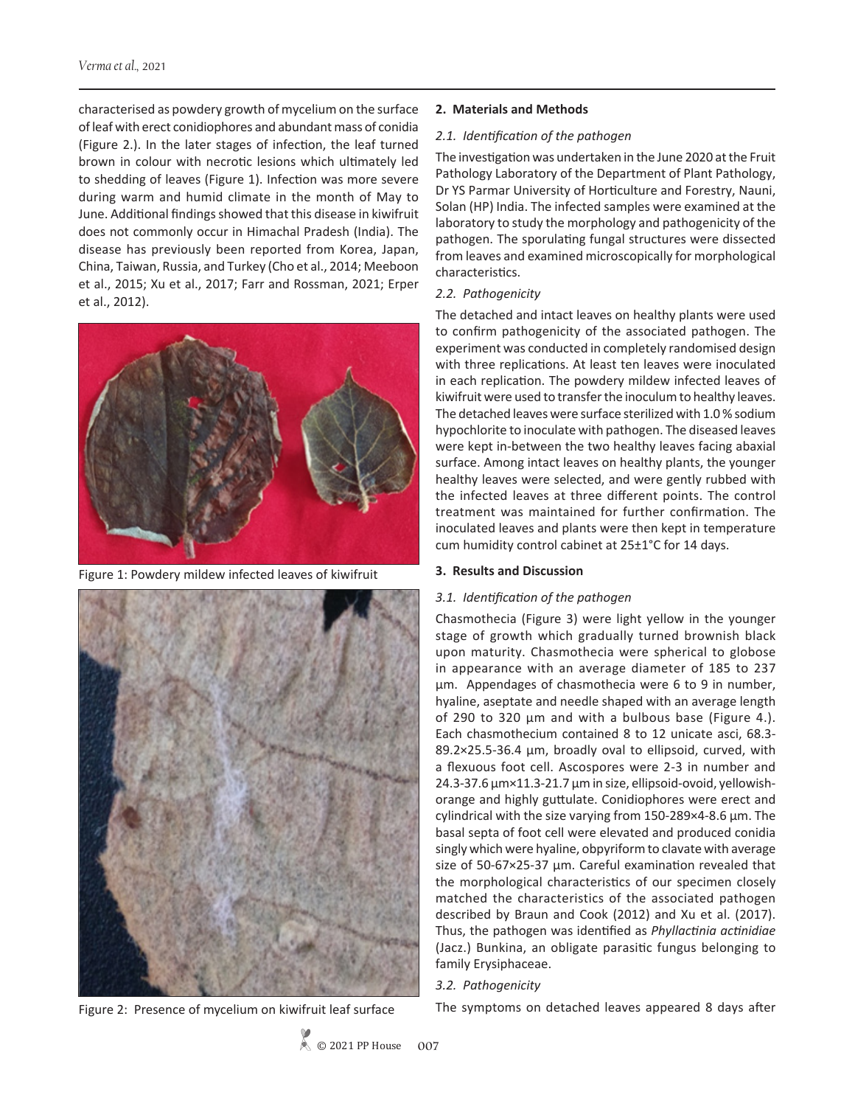characterised as powdery growth of mycelium on the surface of leaf with erect conidiophores and abundant mass of conidia (Figure 2.). In the later stages of infection, the leaf turned brown in colour with necrotic lesions which ultimately led to shedding of leaves (Figure 1). Infection was more severe during warm and humid climate in the month of May to June. Additional findings showed that this disease in kiwifruit does not commonly occur in Himachal Pradesh (India). The disease has previously been reported from Korea, Japan, China, Taiwan, Russia, and Turkey (Cho et al., 2014; Meeboon et al., 2015; Xu et al., 2017; Farr and Rossman, 2021; Erper et al., 2012).



Figure 1: Powdery mildew infected leaves of kiwifruit



Figure 2: Presence of mycelium on kiwifruit leaf surface

### **2. Materials and Methods**

#### *2.1. Identification of the pathogen*

The investigation was undertaken in the June 2020 at the Fruit Pathology Laboratory of the Department of Plant Pathology, Dr YS Parmar University of Horticulture and Forestry, Nauni, Solan (HP) India. The infected samples were examined at the laboratory to study the morphology and pathogenicity of the pathogen. The sporulating fungal structures were dissected from leaves and examined microscopically for morphological characteristics.

# *2.2. Pathogenicity*

The detached and intact leaves on healthy plants were used to confirm pathogenicity of the associated pathogen. The experiment was conducted in completely randomised design with three replications. At least ten leaves were inoculated in each replication. The powdery mildew infected leaves of kiwifruit were used to transfer the inoculum to healthy leaves. The detached leaves were surface sterilized with 1.0 % sodium hypochlorite to inoculate with pathogen. The diseased leaves were kept in-between the two healthy leaves facing abaxial surface. Among intact leaves on healthy plants, the younger healthy leaves were selected, and were gently rubbed with the infected leaves at three different points. The control treatment was maintained for further confirmation. The inoculated leaves and plants were then kept in temperature cum humidity control cabinet at 25±1°C for 14 days.

#### **3. Results and Discussion**

#### *3.1. Identification of the pathogen*

Chasmothecia (Figure 3) were light yellow in the younger stage of growth which gradually turned brownish black upon maturity. Chasmothecia were spherical to globose in appearance with an average diameter of 185 to 237 µm. Appendages of chasmothecia were 6 to 9 in number, hyaline, aseptate and needle shaped with an average length of 290 to 320 µm and with a bulbous base (Figure 4.). Each chasmothecium contained 8 to 12 unicate asci, 68.3- 89.2×25.5-36.4 µm, broadly oval to ellipsoid, curved, with a flexuous foot cell. Ascospores were 2-3 in number and 24.3-37.6 µm×11.3-21.7 µm in size, ellipsoid-ovoid, yellowishorange and highly guttulate. Conidiophores were erect and cylindrical with the size varying from 150-289×4-8.6 µm. The basal septa of foot cell were elevated and produced conidia singly which were hyaline, obpyriform to clavate with average size of 50-67×25-37 µm. Careful examination revealed that the morphological characteristics of our specimen closely matched the characteristics of the associated pathogen described by Braun and Cook (2012) and Xu et al. (2017). Thus, the pathogen was identified as *Phyllactinia actinidiae*  (Jacz.) Bunkina, an obligate parasitic fungus belonging to family Erysiphaceae.

# *3.2. Pathogenicity*

The symptoms on detached leaves appeared 8 days after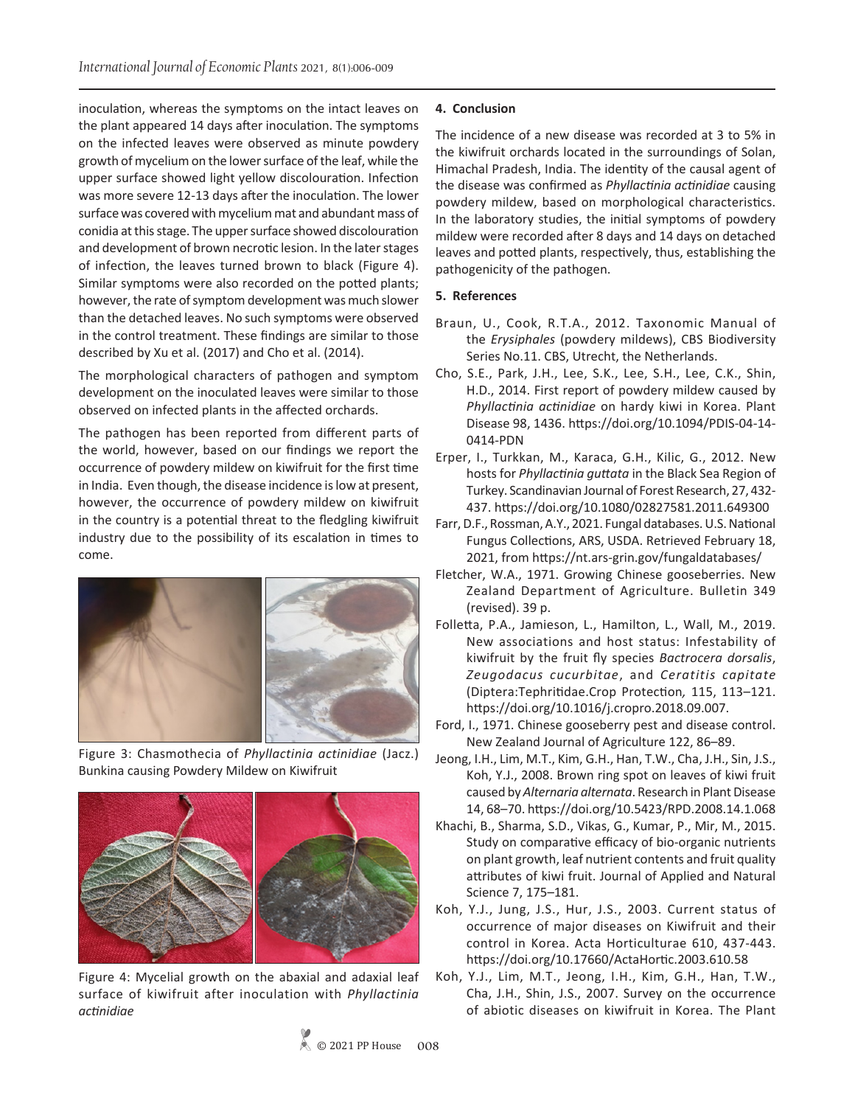inoculation, whereas the symptoms on the intact leaves on the plant appeared 14 days after inoculation. The symptoms on the infected leaves were observed as minute powdery growth of mycelium on the lower surface of the leaf, while the upper surface showed light yellow discolouration. Infection was more severe 12-13 days after the inoculation. The lower surface was covered with mycelium mat and abundant mass of conidia at this stage. The upper surface showed discolouration and development of brown necrotic lesion. In the later stages of infection, the leaves turned brown to black (Figure 4). Similar symptoms were also recorded on the potted plants; however, the rate of symptom development was much slower than the detached leaves. No such symptoms were observed in the control treatment. These findings are similar to those described by Xu et al. (2017) and Cho et al. (2014).

The morphological characters of pathogen and symptom development on the inoculated leaves were similar to those observed on infected plants in the affected orchards.

The pathogen has been reported from different parts of the world, however, based on our findings we report the occurrence of powdery mildew on kiwifruit for the first time in India. Even though, the disease incidence is low at present, however, the occurrence of powdery mildew on kiwifruit in the country is a potential threat to the fledgling kiwifruit industry due to the possibility of its escalation in times to come.



Figure 3: Chasmothecia of *Phyllactinia actinidiae* (Jacz.) Bunkina causing Powdery Mildew on Kiwifruit



Figure 4: Mycelial growth on the abaxial and adaxial leaf surface of kiwifruit after inoculation with *Phyllactinia actinidiae*

#### **4. Conclusion**

The incidence of a new disease was recorded at 3 to 5% in the kiwifruit orchards located in the surroundings of Solan, Himachal Pradesh, India. The identity of the causal agent of the disease was confirmed as *Phyllactinia actinidiae* causing powdery mildew, based on morphological characteristics. In the laboratory studies, the initial symptoms of powdery mildew were recorded after 8 days and 14 days on detached leaves and potted plants, respectively, thus, establishing the pathogenicity of the pathogen.

#### **5. References**

- Braun, U., Cook, R.T.A., 2012. Taxonomic Manual of the *Erysiphales* (powdery mildews), CBS Biodiversity Series No.11. CBS, Utrecht, the Netherlands.
- Cho, S.E., Park, J.H., Lee, S.K., Lee, S.H., Lee, C.K., Shin, H.D., 2014. First report of powdery mildew caused by *Phyllactinia actinidiae* on hardy kiwi in Korea. Plant Disease 98, 1436. https://doi.org/10.1094/PDIS-04-14- 0414-PDN
- Erper, I., Turkkan, M., Karaca, G.H., Kilic, G., 2012. New hosts for *Phyllactinia guttata* in the Black Sea Region of Turkey. Scandinavian Journal of Forest Research, 27, 432- 437. https://doi.org/10.1080/02827581.2011.649300
- Farr, D.F., Rossman, A.Y., 2021. Fungal databases. U.S. National Fungus Collections, ARS, USDA. Retrieved February 18, 2021, from https://nt.ars-grin.gov/fungaldatabases/
- Fletcher, W.A., 1971. Growing Chinese gooseberries. New Zealand Department of Agriculture. Bulletin 349 (revised). 39 p.
- Folletta, P.A., Jamieson, L., Hamilton, L., Wall, M., 2019. New associations and host status: Infestability of kiwifruit by the fruit fly species *Bactrocera dorsalis*, *Zeugodacus cucurbitae*, and *Ceratitis capitate*  (Diptera:Tephritidae.Crop Protection*,* 115, 113–121. https://doi.org/10.1016/j.cropro.2018.09.007.
- Ford, I., 1971. Chinese gooseberry pest and disease control. New Zealand Journal of Agriculture 122, 86–89.
- Jeong, I.H., Lim, M.T., Kim, G.H., Han, T.W., Cha, J.H., Sin, J.S., Koh, Y.J., 2008. Brown ring spot on leaves of kiwi fruit caused by *Alternaria alternata*. Research in Plant Disease 14, 68–70. https://doi.org/10.5423/RPD.2008.14.1.068
- Khachi, B., Sharma, S.D., Vikas, G., Kumar, P., Mir, M., 2015. Study on comparative efficacy of bio-organic nutrients on plant growth, leaf nutrient contents and fruit quality attributes of kiwi fruit. Journal of Applied and Natural Science 7, 175–181.
- Koh, Y.J., Jung, J.S., Hur, J.S., 2003. Current status of occurrence of major diseases on Kiwifruit and their control in Korea. Acta Horticulturae 610, 437-443. https://doi.org/10.17660/ActaHortic.2003.610.58
- Koh, Y.J., Lim, M.T., Jeong, I.H., Kim, G.H., Han, T.W., Cha, J.H., Shin, J.S., 2007. Survey on the occurrence of abiotic diseases on kiwifruit in Korea. The Plant